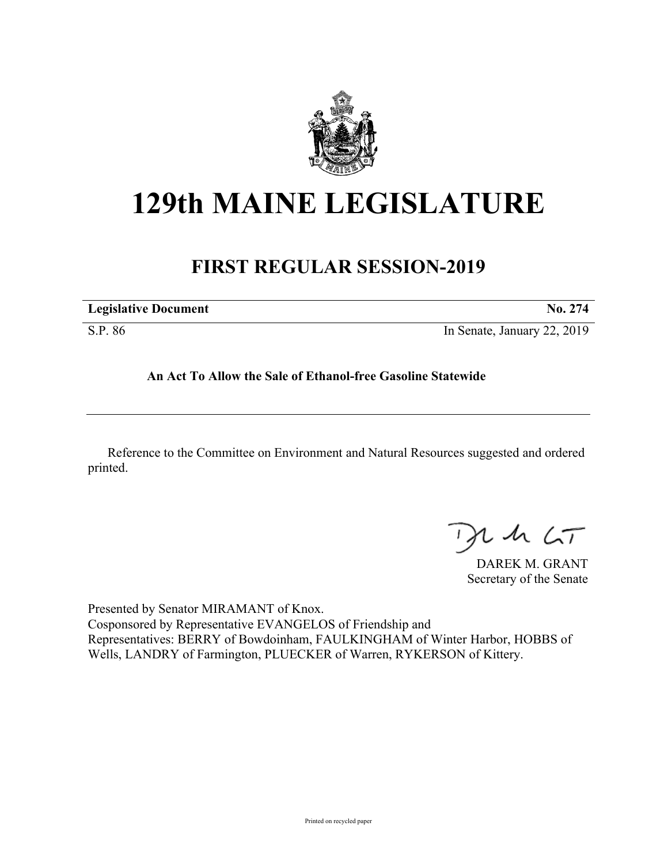

# **129th MAINE LEGISLATURE**

# **FIRST REGULAR SESSION-2019**

| <b>Legislative Document</b> | <b>No. 274</b>              |
|-----------------------------|-----------------------------|
| S.P. 86                     | In Senate, January 22, 2019 |

**An Act To Allow the Sale of Ethanol-free Gasoline Statewide**

Reference to the Committee on Environment and Natural Resources suggested and ordered printed.

 $125$ 

DAREK M. GRANT Secretary of the Senate

Presented by Senator MIRAMANT of Knox. Cosponsored by Representative EVANGELOS of Friendship and Representatives: BERRY of Bowdoinham, FAULKINGHAM of Winter Harbor, HOBBS of Wells, LANDRY of Farmington, PLUECKER of Warren, RYKERSON of Kittery.